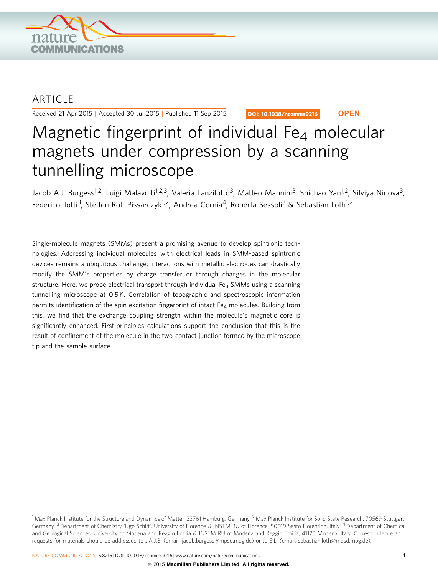

# ARTICLE

Received 21 Apr 2015 | Accepted 30 Jul 2015 | Published 11 Sep 2015

DOI: 10.1038/ncomms9216 **OPEN**

# Magnetic fingerprint of individual  $Fe<sub>4</sub>$  molecular magnets under compression by a scanning tunnelling microscope

Jacob A.J. Burgess<sup>1,2</sup>, Luigi Malavolti<sup>1,2,3</sup>, Valeria Lanzilotto<sup>3</sup>, Matteo Mannini<sup>3</sup>, Shichao Yan<sup>1,2</sup>, Silviya Ninova<sup>3</sup>, Federico Totti<sup>3</sup>, Steffen Rolf-Pissarczyk<sup>1,2</sup>, Andrea Cornia<sup>4</sup>, Roberta Sessoli<sup>3</sup> & Sebastian Loth<sup>1,2</sup>

Single-molecule magnets (SMMs) present a promising avenue to develop spintronic technologies. Addressing individual molecules with electrical leads in SMM-based spintronic devices remains a ubiquitous challenge: interactions with metallic electrodes can drastically modify the SMM's properties by charge transfer or through changes in the molecular structure. Here, we probe electrical transport through individual  $Fe<sub>4</sub>$  SMMs using a scanning tunnelling microscope at 0.5 K. Correlation of topographic and spectroscopic information permits identification of the spin excitation fingerprint of intact Fe<sub>4</sub> molecules. Building from this, we find that the exchange coupling strength within the molecule's magnetic core is significantly enhanced. First-principles calculations support the conclusion that this is the result of confinement of the molecule in the two-contact junction formed by the microscope tip and the sample surface.

 $1$ Max Planck Institute for the Structure and Dynamics of Matter, 22761 Hamburg, Germany. <sup>2</sup> Max Planck Institute for Solid State Research, 70569 Stuttgart, Germany.<sup>3</sup> Department of Chemistry 'Ugo Schiff', University of Florence & INSTM RU of Florence, 50019 Sesto Fiorentino, Italy. <sup>4</sup> Department of Chemical and Geological Sciences, University of Modena and Reggio Emilia & INSTM RU of Modena and Reggio Emilia, 41125 Modena, Italy. Correspondence and requests for materials should be addressed to J.A.J.B. (email: [jacob.burgess@mpsd.mpg.de](mailto:jacob.burgess@mpsd.mpg.de)) or to S.L. (email: [sebastian.loth@mpsd.mpg.de\)](mailto:sebastian.loth@mpsd.mpg.de).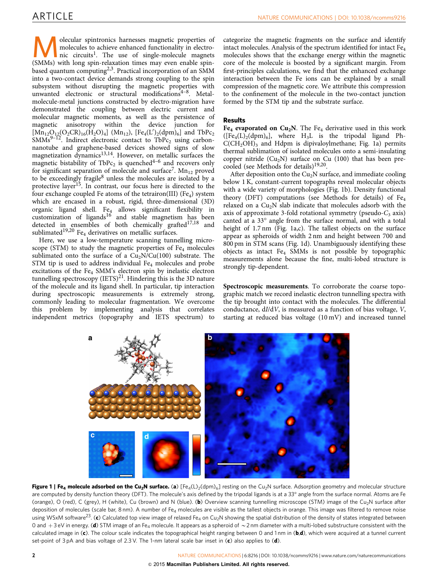Molecular spintronics harnesses magnetic properties of<br>molecules to achieve enhanced functionality in electro-<br>nic circuits<sup>[1](#page-5-0)</sup>. The use of single-molecule magnets<br>(SMMs) with long spin-relaxation times may even enable spin molecules to achieve enhanced functionality in electro-(SMMs) with long spin-relaxation times may even enable spin-based quantum computing<sup>[2,3](#page-5-0)</sup>. Practical incorporation of an SMM into a two-contact device demands strong coupling to the spin subsystem without disrupting the magnetic properties with unwanted electronic or structural modifications $4-8$ . Metalmolecule-metal junctions constructed by electro-migration have demonstrated the coupling between electric current and molecular magnetic moments, as well as the persistence of magnetic anisotropy within the device junction for  $[Mn_{12}O_{12}(O_2CR)_{16}(H_2O)_4]$  (Mn<sub>12</sub>), [Fe<sub>4</sub>(L')<sub>2</sub>(dpm)<sub>6</sub>] and TbPc<sub>2</sub>  $\text{SMMs}^{\text{9}-\text{12}}$ . Indirect electronic contact to TbPc<sub>2</sub> using carbonnanotube and graphene-based devices showed signs of slow magnetization dynamics<sup>[13,14](#page-5-0)</sup>. However, on metallic surfaces the magnetic bistability of  $TbPc_2$  is quenched<sup>[4–6](#page-5-0)</sup> and recovers only for significant separation of molecule and surface<sup>7</sup>.  $Mn<sub>12</sub>$  proved to be exceedingly fragile<sup>[8](#page-5-0)</sup> unless the molecules are isolated by a protective layer<sup>[15](#page-5-0)</sup>. In contrast, our focus here is directed to the four exchange coupled Fe atoms of the tetrairon(III) (Fe<sub>4</sub>) system which are encased in a robust, rigid, three-dimensional (3D) organic ligand shell. Fe<sub>4</sub> allows significant flexibility in customization of ligands<sup>[16](#page-5-0)</sup> and stable magnetism has been detected in ensembles of both chemically grafted $17,18$  and sublimated<sup>[19,20](#page-5-0)</sup> Fe<sub>4</sub> derivatives on metallic surfaces.

Here, we use a low-temperature scanning tunnelling microscope (STM) to study the magnetic properties of  $Fe<sub>4</sub>$  molecules sublimated onto the surface of a  $Cu<sub>2</sub>N/Cu(100)$  substrate. The STM tip is used to address individual Fe<sub>4</sub> molecules and probe excitations of the Fe<sub>4</sub> SMM's electron spin by inelastic electron tunnelling spectroscopy  $(IETS)^{21}$  $(IETS)^{21}$  $(IETS)^{21}$ . Hindering this is the 3D nature of the molecule and its ligand shell. In particular, tip interaction during spectroscopic measurements is extremely strong, commonly leading to molecular fragmentation. We overcome this problem by implementing analysis that correlates independent metrics (topography and IETS spectrum) to

categorize the magnetic fragments on the surface and identify intact molecules. Analysis of the spectrum identified for intact Fe4 molecules shows that the exchange energy within the magnetic core of the molecule is boosted by a significant margin. From first-principles calculations, we find that the enhanced exchange interaction between the Fe ions can be explained by a small compression of the magnetic core. We attribute this compression to the confinement of the molecule in the two-contact junction formed by the STM tip and the substrate surface.

# Results

Fe<sub>4</sub> evaporated on Cu<sub>2</sub>N. The Fe<sub>4</sub> derivative used in this work  $([Fe<sub>4</sub>(L)<sub>2</sub>(dpm)<sub>6</sub>],$  where H<sub>3</sub>L is the tripodal ligand Ph- $C(CH<sub>2</sub>OH)<sub>3</sub>$  and Hdpm is dipivaloylmethane; Fig. 1a) permits thermal sublimation of isolated molecules onto a semi-insulating copper nitride  $(Cu_2N)$  surface on Cu (100) that has been pre-cooled (see Methods for details)<sup>[19,20](#page-5-0)</sup>.

After deposition onto the  $Cu<sub>2</sub>N$  surface, and immediate cooling below 1 K, constant-current topographs reveal molecular objects with a wide variety of morphologies (Fig. 1b). Density functional theory (DFT) computations (see Methods for details) of  $Fe<sub>4</sub>$ relaxed on a  $Cu<sub>2</sub>N$  slab indicate that molecules adsorb with the axis of approximate 3-fold rotational symmetry (pseudo- $C_3$  axis) canted at a 33° angle from the surface normal, and with a total height of 1.7 nm (Fig. 1a,c). The tallest objects on the surface appear as spheroids of width 2 nm and height between 700 and 800 pm in STM scans (Fig. 1d). Unambiguously identifying these objects as intact  $Fe<sub>4</sub>$  SMMs is not possible by topographic measurements alone because the fine, multi-lobed structure is strongly tip-dependent.

Spectroscopic measurements. To corroborate the coarse topographic match we record inelastic electron tunnelling spectra with the tip brought into contact with the molecules. The differential conductance, dI/dV, is measured as a function of bias voltage, V, starting at reduced bias voltage (10 mV) and increased tunnel



Figure 1 | Fe<sub>4</sub> molecule adsorbed on the Cu<sub>2</sub>N surface. (a)  $[Fe_4(L)_2(dpm)_6]$  resting on the Cu<sub>2</sub>N surface. Adsorption geometry and molecular structure are computed by density function theory (DFT). The molecule's axis defined by the tripodal ligands is at a 33° angle from the surface normal. Atoms are Fe (orange), O (red), C (grey), H (white), Cu (brown) and N (blue). (b) Overview scanning tunnelling microscope (STM) image of the Cu<sub>2</sub>N surface after deposition of molecules (scale bar,  $8$ nm). A number of Fe<sub>4</sub> molecules are visible as the tallest objects in orange. This image was filtered to remove noise using WSxM software<sup>[23](#page-5-0)</sup>. (c) Calculated top view image of relaxed Fe<sub>4</sub> on Cu<sub>2</sub>N showing the spatial distribution of the density of states integrated between 0 and  $+3$  eV in energy. (d) STM image of an Fe<sub>4</sub> molecule. It appears as a spheroid of  $\sim$ 2 nm diameter with a multi-lobed substructure consistent with the calculated image in (c). The colour scale indicates the topographical height ranging between 0 and 1 nm in  $(b,d)$ , which were acquired at a tunnel current set-point of 3 pA and bias voltage of 2.3 V. The 1-nm lateral scale bar inset in  $(c)$  also applies to  $(d)$ .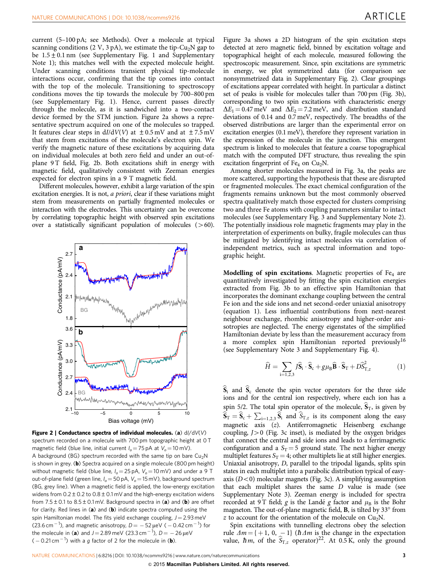current (5–100 pA; see Methods). Over a molecule at typical scanning conditions (2 V, 3 pA), we estimate the tip-Cu<sub>2</sub>N gap to be  $1.5 \pm 0.1$  nm (see Supplementary Fig. 1 and Supplementary Note 1); this matches well with the expected molecule height. Under scanning conditions transient physical tip-molecule interactions occur, confirming that the tip comes into contact with the top of the molecule. Transitioning to spectroscopy conditions moves the tip towards the molecule by 700–800 pm (see Supplementary Fig. 1). Hence, current passes directly through the molecule, as it is sandwiched into a two-contact device formed by the STM junction. Figure 2a shows a representative spectrum acquired on one of the molecules so trapped. It features clear steps in  $dI/dV(V)$  at  $\pm 0.5$  mV and at  $\pm 7.5$  mV that stem from excitations of the molecule's electron spin. We verify the magnetic nature of these excitations by acquiring data on individual molecules at both zero field and under an out-ofplane 9 T field, Fig. 2b. Both excitations shift in energy with magnetic field, qualitatively consistent with Zeeman energies expected for electron spins in a 9 T magnetic field.

Different molecules, however, exhibit a large variation of the spin excitation energies. It is not, a priori, clear if these variations might stem from measurements on partially fragmented molecules or interaction with the electrodes. This uncertainty can be overcome by correlating topographic height with observed spin excitations over a statistically significant population of molecules  $(560)$ .



Figure 2 | Conductance spectra of individual molecules. (a)  $d/dV(V)$ spectrum recorded on a molecule with 700 pm topographic height at 0 T magnetic field (blue line, initial current  $I_0 = 75$  pA at  $V_0 = 10$  mV). A background (BG) spectrum recorded with the same tip on bare  $Cu<sub>2</sub>N$ is shown in grey. (b) Spectra acquired on a single molecule (800 pm height) without magnetic field (blue line,  $I_0 = 25$  pA,  $V_0 = 10$  mV) and under a 9 T out-of-plane field (green line,  $I_0$  = 50 pA,  $V_0$  = 15 mV), background spectrum (BG, grey line). When a magnetic field is applied, the low-energy excitation widens from  $0.2 \pm 0.2$  to  $0.8 \pm 0.1$  mV and the high-energy excitation widens from  $7.5 \pm 0.1$  to  $8.5 \pm 0.1$  mV. Background spectra in (a) and (b) are offset for clarity. Red lines in  $(a)$  and  $(b)$  indicate spectra computed using the spin Hamiltonian model. The fits yield exchange coupling,  $J = 2.93$  meV (23.6 cm  $^{-1}$ ), and magnetic anisotropy,  $D = -52 \,\mu\text{eV}$  (  $-0.42 \,\text{cm}^{-1}$ ) for the molecule in (**a**) and  $J = 2.89$  meV (23.3 cm $^{-1}$ ),  $D = -26$   $\mu$ eV  $($  – 0.21 cm<sup>-1</sup>) with a g factor of 2 for the molecule in (**b**).

[Figure 3a](#page-3-0) shows a 2D histogram of the spin excitation steps detected at zero magnetic field, binned by excitation voltage and topographical height of each molecule, measured following the spectroscopic measurement. Since, spin excitations are symmetric in energy, we plot symmetrized data (for comparison see nonsymmetrized data in Supplementary Fig. 2). Clear groupings of excitations appear correlated with height. In particular a distinct set of peaks is visible for molecules taller than 700 pm [\(Fig. 3b](#page-3-0)), corresponding to two spin excitations with characteristic energy  $\Delta E_1$  = 0.47 meV and  $\Delta E_2$  = 7.2 meV, and distribution standard deviations of 0.14 and 0.7 meV, respectively. The breadths of the observed distributions are larger than the experimental error on excitation energies (0.1 meV), therefore they represent variation in the expression of the molecule in the junction. This emergent spectrum is linked to molecules that feature a coarse topographical match with the computed DFT structure, thus revealing the spin excitation fingerprint of  $Fe<sub>4</sub>$  on  $Cu<sub>2</sub>N$ .

Among shorter molecules measured in [Fig. 3a](#page-3-0), the peaks are more scattered, supporting the hypothesis that these are disrupted or fragmented molecules. The exact chemical configuration of the fragments remains unknown but the most commonly observed spectra qualitatively match those expected for clusters comprising two and three Fe atoms with coupling parameters similar to intact molecules (see Supplementary Fig. 3 and Supplementary Note 2). The potentially insidious role magnetic fragments may play in the interpretation of experiments on bulky, fragile molecules can thus be mitigated by identifying intact molecules via correlation of independent metrics, such as spectral information and topographic height.

Modelling of spin excitations. Magnetic properties of  $Fe<sub>4</sub>$  are quantitatively investigated by fitting the spin excitation energies extracted from [Fig. 3b](#page-3-0) to an effective spin Hamiltonian that incorporates the dominant exchange coupling between the central Fe ion and the side ions and net second-order uniaxial anisotropy (equation 1). Less influential contributions from next-nearest neighbour exchange, rhombic anisotropy and higher-order anisotropies are neglected. The energy eigenstates of the simplified Hamiltonian deviate by less than the measurement accuracy from a more complex spin Hamiltonian reported previously<sup>[16](#page-5-0)</sup> (see Supplementary Note 3 and Supplementary Fig. 4).

$$
\widehat{H} = \sum_{i=1,2,3} \widehat{J}\widehat{S}_i \cdot \widehat{S}_c + g\mu_B \widehat{B} \cdot \widehat{S}_T + D\widehat{S}_{T,z}^2 \tag{1}
$$

 $\hat{S}_i$  and  $\hat{S}_c$  denote the spin vector operators for the three side ions and for the central ion respectively, where each ion has a spin 5/2. The total spin operator of the molecule,  $S_T$ , is given by  $\hat{\mathbf{S}}_{\text{T}} = \hat{\mathbf{S}}_{\text{c}} + \sum_{i=1,2,3} \hat{\mathbf{S}}_{i}$  and  $\hat{\mathbf{S}}_{\text{T},z}$  is its component along the easy magnetic axis (z). Antiferromagnetic Heisenberg exchange coupling,  $J>0$  ([Fig. 3c](#page-3-0) inset), is mediated by the oxygen bridges that connect the central and side ions and leads to a ferrimagnetic configuration and a  $S_T = 5$  ground state. The next higher energy multiplet features  $S_T = 4$ ; other multiplets lie at still higher energies. Uniaxial anisotropy, D, parallel to the tripodal ligands, splits spin states in each multiplet into a parabolic distribution typical of easyaxis  $(D<0)$  molecular magnets ([Fig. 3c\)](#page-3-0). A simplifying assumption that each multiplet shares the same D value is made (see Supplementary Note 3). Zeeman energy is included for spectra recorded at 9 T field; g is the Landé g factor and  $\mu_B$  is the Bohr magneton. The out-of-plane magnetic field,  $B$ , is tilted by 33 $^{\circ}$  from z to account for the orientation of the molecule on  $Cu<sub>2</sub>N$ .

Spin excitations with tunnelling electrons obey the selection rule  $\Delta m = \{ +1, 0, -1 \}$  ( $\hbar \Delta m$  is the change in the expectation value,  $\hbar m$ , of the  $\hat{S}_{T,z}$  operator)<sup>[22](#page-5-0)</sup>. At 0.5 K, only the ground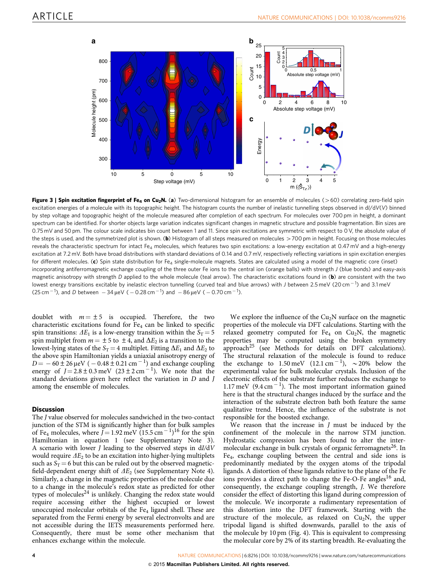<span id="page-3-0"></span>

Figure 3 | Spin excitation fingerprint of Fe<sub>4</sub> on Cu<sub>2</sub>N. (a) Two-dimensional histogram for an ensemble of molecules (>60) correlating zero-field spin excitation energies of a molecule with its topographic height. The histogram counts the number of inelastic tunnelling steps observed in dl/dV(V) binned by step voltage and topographic height of the molecule measured after completion of each spectrum. For molecules over 700 pm in height, a dominant spectrum can be identified. For shorter objects large variation indicates significant changes in magnetic structure and possible fragmentation. Bin sizes are 0.75 mV and 50 pm. The colour scale indicates bin count between 1 and 11. Since spin excitations are symmetric with respect to 0 V, the absolute value of the steps is used, and the symmetrized plot is shown. (b) Histogram of all steps measured on molecules  $>700$  pm in height. Focusing on those molecules reveals the characteristic spectrum for intact Fe<sub>4</sub> molecules, which features two spin excitations: a low-energy excitation at 0.47 mV and a high-energy excitation at 7.2 mV. Both have broad distributions with standard deviations of 0.14 and 0.7 mV, respectively reflecting variations in spin excitation energies for different molecules. (c) Spin state distribution for Fe<sub>4</sub> single-molecule magnets. States are calculated using a model of the magnetic core (inset) incorporating antiferromagnetic exchange coupling of the three outer Fe ions to the central ion (orange balls) with strength J (blue bonds) and easy-axis magnetic anisotropy with strength D applied to the whole molecule (teal arrow). The characteristic excitations found in (b) are consistent with the two lowest energy transitions excitable by inelastic electron tunnelling (curved teal and blue arrows) with J between 2.5 meV (20 cm $^{-1}$ ) and 3.1 meV (25 cm  $^{-1}$ ), and D between  $-34 \,\mu$ eV (  $-$  0.28 cm  $^{-1}$ ) and  $-86 \,\mu$ eV (  $-$  0.70 cm  $^{-1}$ ).

doublet with  $m = \pm 5$  is occupied. Therefore, the two characteristic excitations found for  $Fe<sub>4</sub>$  can be linked to specific spin transitions:  $\Delta E_1$  is a low-energy transition within the  $S_T = 5$ spin multiplet from  $m = \pm 5$  to  $\pm 4$ , and  $\Delta E_2$  is a transition to the lowest-lying states of the  $S_T = 4$  multiplet. Fitting  $\Delta E_1$  and  $\Delta E_2$  to the above spin Hamiltonian yields a uniaxial anisotropy energy of  $D = -60 \pm 26 \,\mu\text{eV}$  (  $-0.48 \pm 0.21 \,\text{cm}^{-1}$ ) and exchange coupling energy of  $J = 2.8 \pm 0.3$  meV  $(23 \pm 2 \text{ cm}^{-1})$ . We note that the standard deviations given here reflect the variation in D and J among the ensemble of molecules.

## **Discussion**

The J value observed for molecules sandwiched in the two-contact junction of the STM is significantly higher than for bulk samples of Fe<sub>4</sub> molecules, where  $\widetilde{J} = 1.92 \text{ meV}$  (15.5 cm <sup>-1</sup>)<sup>[16](#page-5-0)</sup> for the spin Hamiltonian in equation 1 (see Supplementary Note 3). A scenario with lower  $J$  leading to the observed steps in  $dJ/dV$ would require  $\Delta E_2$  to be an excitation into higher-lying multiplets such as  $S_T = 6$  but this can be ruled out by the observed magneticfield-dependent energy shift of  $\Delta E_2$  (see Supplementary Note 4). Similarly, a change in the magnetic properties of the molecule due to a change in the molecule's redox state as predicted for other types of molecules $^{24}$  $^{24}$  $^{24}$  is unlikely. Changing the redox state would require accessing either the highest occupied or lowest unoccupied molecular orbitals of the  $Fe<sub>4</sub>$  ligand shell. These are separated from the Fermi energy by several electronvolts and are not accessible during the IETS measurements performed here. Consequently, there must be some other mechanism that enhances exchange within the molecule.

We explore the influence of the  $Cu<sub>2</sub>N$  surface on the magnetic properties of the molecule via DFT calculations. Starting with the relaxed geometry computed for  $Fe<sub>4</sub>$  on Cu<sub>2</sub>N, the magnetic properties may be computed using the broken symmetry approach<sup>[25](#page-5-0)</sup> (see Methods for details on DFT calculations). The structural relaxation of the molecule is found to reduce the exchange to  $1.50 \,\text{meV}$   $(12.1 \,\text{cm}^{-1})$ ,  $\sim 20\%$  below the experimental value for bulk molecular crystals. Inclusion of the electronic effects of the substrate further reduces the exchange to 1.17 meV  $(9.4 \text{ cm}^{-1})$ . The most important information gained here is that the structural changes induced by the surface and the interaction of the substrate electron bath both feature the same qualitative trend. Hence, the influence of the substrate is not responsible for the boosted exchange.

We reason that the increase in  $J$  must be induced by the confinement of the molecule in the narrow STM junction. Hydrostatic compression has been found to alter the intermolecular exchange in bulk crystals of organic ferromagnets<sup>26</sup>. In Fe4, exchange coupling between the central and side ions is predominantly mediated by the oxygen atoms of the tripodal ligands. A distortion of these ligands relative to the plane of the Fe ions provides a direct path to change the Fe-O-Fe angles<sup>[16](#page-5-0)</sup> and, consequently, the exchange coupling strength, J. We therefore consider the effect of distorting this ligand during compression of the molecule. We incorporate a rudimentary representation of this distortion into the DFT framework. Starting with the structure of the molecule, as relaxed on  $Cu<sub>2</sub>N$ , the upper tripodal ligand is shifted downwards, parallel to the axis of the molecule by 10 pm [\(Fig. 4](#page-4-0)). This is equivalent to compressing the molecular core by 2% of its starting breadth. Re-evaluating the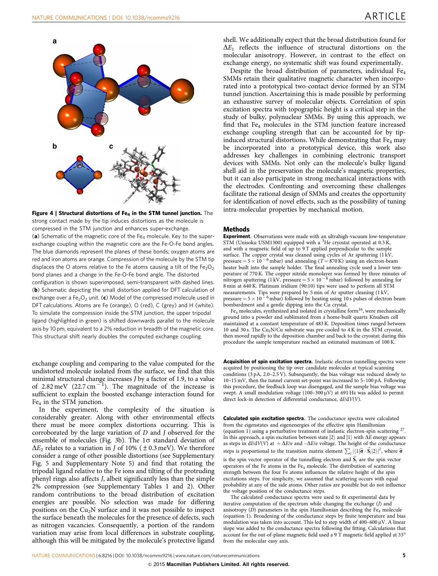<span id="page-4-0"></span>

Figure 4 | Structural distortions of Fe<sub>4</sub> in the STM tunnel junction. The strong contact made by the tip induces distortions as the molecule is compressed in the STM junction and enhances super-exchange. (a) Schematic of the magnetic core of the  $Fe<sub>4</sub>$  molecule. Key to the superexchange coupling within the magnetic core are the Fe-O-Fe bond angles. The blue diamonds represent the planes of these bonds; oxygen atoms are red and iron atoms are orange. Compression of the molecule by the STM tip displaces the O atoms relative to the Fe atoms causing a tilt of the Fe<sub>2</sub>O<sub>2</sub> bond planes and a change in the Fe-O-Fe bond angle. The distorted configuration is shown superimposed, semi-transparent with dashed lines. (b) Schematic depicting the small distortion applied for DFT calculation of exchange over a Fe<sub>2</sub>O<sub>2</sub> unit. (c) Model of the compressed molecule used in DFT calculations. Atoms are Fe (orange), O (red), C (grey) and H (white). To simulate the compression inside the STM junction, the upper tripodal ligand (highlighted in green) is shifted downwards parallel to the molecule axis by 10 pm, equivalent to a 2% reduction in breadth of the magnetic core. This structural shift nearly doubles the computed exchange coupling.

exchange coupling and comparing to the value computed for the undistorted molecule isolated from the surface, we find that this minimal structural change increases J by a factor of 1.9, to a value of 2.82 meV  $(22.7 \text{ cm}^{-1})$ . The magnitude of the increase is sufficient to explain the boosted exchange interaction found for Fe4 in the STM junction.

In the experiment, the complexity of the situation is considerably greater. Along with other environmental effects there must be more complex distortions occurring. This is corroborated by the large variation of D and J observed for the ensemble of molecules ([Fig. 3b\)](#page-3-0). The  $1\sigma$  standard deviation of  $\Delta E_2$  relates to a variation in *J* of 10% ( $\pm$ 0.3 meV). We therefore consider a range of other possible distortions (see Supplementary Fig. 5 and Supplementary Note 5) and find that rotating the tripodal ligand relative to the Fe ions and tilting of the protruding phenyl rings also affects J, albeit significantly less than the simple 2% compression (see Supplementary Tables 1 and 2). Other random contributions to the broad distribution of excitation energies are possible. No selection was made for differing positions on the  $Cu<sub>2</sub>N$  surface and it was not possible to inspect the surface beneath the molecules for the presence of defects, such as nitrogen vacancies. Consequently, a portion of the random variation may arise from local differences in substrate coupling, although this will be mitigated by the molecule's protective ligand shell. We additionally expect that the broad distribution found for  $\Delta E_1$  reflects the influence of structural distortions on the molecular anisotropy. However, in contrast to the effect on exchange energy, no systematic shift was found experimentally.

Despite the broad distribution of parameters, individual Fe<sub>4</sub> SMMs retain their qualitative magnetic character when incorporated into a prototypical two-contact device formed by an STM tunnel junction. Ascertaining this is made possible by performing an exhaustive survey of molecular objects. Correlation of spin excitation spectra with topographic height is a critical step in the study of bulky, polynuclear SMMs. By using this approach, we find that Fe<sub>4</sub> molecules in the STM junction feature increased exchange coupling strength that can be accounted for by tipinduced structural distortions. While demonstrating that Fe<sub>4</sub> may be incorporated into a prototypical device, this work also addresses key challenges in combining electronic transport devices with SMMs. Not only can the molecule's bulky ligand shell aid in the preservation the molecule's magnetic properties, but it can also participate in strong mechanical interactions with the electrodes. Confronting and overcoming these challenges facilitate the rational design of SMMs and creates the opportunity for identification of novel effects, such as the possibility of tuning intra-molecular properties by mechanical motion.

#### Methods

**Experiment.** Observations were made with an ultrahigh-vacuum low-temperature STM (Unisoku USM1300) equipped with a <sup>3</sup>He cryostat operated at 0.5 K, and with a magnetic field of up to 9 T applied perpendicular to the sample surface. The copper crystal was cleaned using cycles of Ar sputtering (1 kV, pressure =  $5 \times 10^{-6}$  mbar) and annealing (T = 870 K) using an electron-beam heater built into the sample holder. The final annealing cycle used a lower temperature of 770 K. The copper nitride monolayer was formed by three minutes of nitrogen sputtering (1 kV, pressure =  $5 \times 10^{-6}$  mbar) followed by annealing for 8 min at 640 K. Platinum iridium (90:10) tips were used to perform all STM measurements. Tips were prepared by 5 min of Ar sputter cleaning (1 kV, pressure =  $5 \times 10^{-6}$  mbar) followed by heating using 10 s pulses of electron beam bombardment and a gentle dipping into the Cu crystal.

 $Fe<sub>4</sub>$  molecules, synthesized and isolated in crystalline form<sup>16</sup>, were mechanically ground into a powder and sublimated from a home-built quartz Knudsen cell maintained at a constant temperature of 483 K. Deposition times ranged between 10 and 30 s. The Cu<sub>2</sub>N/Cu substrate was pre-cooled to 4 K in the STM cryostat, then moved rapidly to the deposition chamber and back to the cryostat; during this procedure the sample temperature reached an estimated maximum of 100 K.

Acquisition of spin excitation spectra. Inelastic electron tunnelling spectra were acquired by positioning the tip over candidate molecules at typical scanning conditions  $(3 pA, 2.0 - 2.5 V)$ . Subsequently, the bias voltage was reduced slowly to 10–15 mV, then the tunnel current set-point was increased to 5–100 pA. Following this procedure, the feedback loop was disengaged, and the sample bias voltage was swept. A small modulation voltage  $(100-300 \,\mathrm{\upmu V})$  at 691 Hz was added to permit direct lock-in detection of differential conductance, dI/dV(V).

Calculated spin excitation spectra. The conductance spectra were calculated from the eigenstates and eigenenergies of the effective spin Hamiltonian (equation 1) using a perturbative treatment of inelastic electron-spin scattering [27](#page-5-0). In this approach, a spin excitation between state  $|2\rangle$  and  $|1\rangle$  with  $\Delta E$  energy appears as steps in  $dI/dV(V)$  at  $+\Delta E/e$  and  $-\Delta E/e$  voltage. The height of the conductance steps is proportional to the transition matrix element  $\sum_j |\langle 1 | \hat{\sigma} \cdot \hat{\mathbf{S}}_j | 2 \rangle|^2$ , where  $\hat{\sigma}$ is the spin vector operator of the tunnelling electron and  $S_j$  are the spin vector operators of the Fe atoms in the Fe<sub>4</sub> molecule. The distribution of scattering strength between the four Fe atoms influences the relative height of the spin excitations steps. For simplicity, we assumed that scattering occurs with equal probability at any of the side atoms. Other ratios are possible but do not influence the voltage position of the conductance steps.

The calculated conductance spectra were used to fit experimental data by iterative computation of the spectrum while changing the exchange (J) and anisotropy  $(D)$  parameters in the spin Hamiltonian describing the Fe<sub>4</sub> molecule (equation 1). Broadening of the conductance steps by finite temperature and bias modulation was taken into account. This led to step width of  $400-600 \mu V$ . A linear slope was added to the conductance spectra following the fitting. Calculations that account for the out-of-plane magnetic field used a 9 T magnetic field applied at 33 from the molecular easy axis.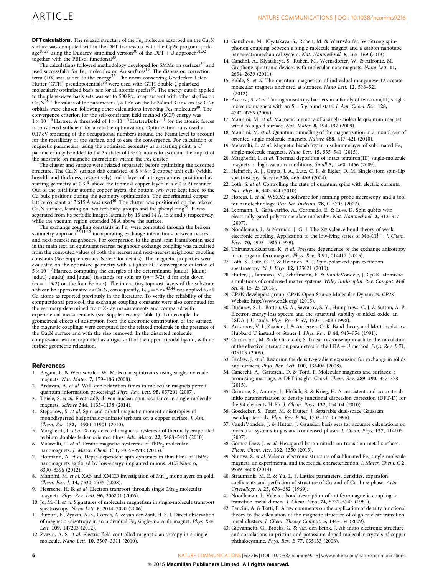<span id="page-5-0"></span>**DFT calculations.** The relaxed structure of the Fe<sub>4</sub> molecule adsorbed on the Cu<sub>2</sub>N surface was computed within the DFT framework with the Cp2k program pack-<br>age<sup>28,29</sup> using the Dudarev simplified version<sup>30</sup> of the DFT + U approach<sup>31,32</sup> together with the PBEsol functional<sup>33</sup>.

The calculations followed methodology developed for SMMs on surfaces<sup>34</sup> and used successfully for Fe<sub>4</sub> molecules on Au surfaces<sup>19</sup>. The dispersion correction term (D3) was added to the energy<sup>35</sup>. The norm-conserving Goedecker-Teter-Hutter (GTH) pseudopotentials<sup>36</sup> were used with GTH double-ζ polarized molecularly optimized basis sets for all atomic species<sup>37</sup>. The energy cutoff applied to the plane-wave basis sets was set to 500 Ry, in agreement with other studies on  $Cu_2N^{38}$ . The values of the parameter U, 4.1 eV on the Fe 3*d* and 3.0 eV on the O 2*p* orbitals were chosen following other calculations involving  $Fe<sub>4</sub>$  molecules<sup>39</sup>. The convergence criterion for the self-consistent field method (SCF) energy was  $1 \times 10^{-6}$  Hartree. A threshold of  $1 \times 10^{-3}$  Hartree Bohr<sup>-1</sup> for the atomic forces is considered sufficient for a reliable optimization. Optimization runs used a 0.17 eV smearing of the occupational numbers around the Fermi level to account for the metallicity of the surface, and to ease the convergence. For calculation of magnetic parameters, using the optimized geometry as a starting point, a U parameter may be added to the 3d states of the Cu atoms to ascertain the impact of the substrate on magnetic interactions within the  $Fe<sub>4</sub>$  cluster.

The cluster and surface were relaxed separately before optimizing the adsorbed structure. The Cu<sub>2</sub>N surface slab consisted of  $8 \times 8 \times 2$  copper unit cells (width, breadth and thickness, respectively) and a layer of nitrogen atoms, positioned as starting geometry at 0.3 Å above the topmost copper layer in a  $c(2 \times 2)$  manner. Out of the total four atomic copper layers, the bottom two were kept fixed to the Cu bulk positions during the geometry optimization. The experimental copper<br>lattice constant of 3.615 Å was used<sup>40</sup>. The cluster was positioned on the relaxed  $Cu<sub>2</sub>N$  surface, leaning on two tert-butyl groups and the phenyl ring<sup>19</sup>. It was separated from its periodic images laterally by 13 and 14 Å, in x and y respectively, while the vacuum region extended 38 Å above the surface.

The exchange coupling constants in  $Fe_4$  were computed through the broken symmetry approach<sup>25,41,42</sup> incorporating exchange interactions between nearest and next-nearest neighbours. For comparison to the giant spin Hamiltonian used in the main text, an equivalent nearest neighbour exchange coupling was calculated from the computed values of both the nearest and next-nearest neighbour coupling constants (See Supplementary Note 3 for details). The magnetic properties were evaluated on the optimized geometry with a tighter SCF convergence criterion of  $5\times10^{-7}$  Hartree, computing the energies of the determinants |uuuu\, |duuu\, |uduu| ,|uudu| and |uuud| (u stands for spin up ( $m = 5/2$ ), d for spin down  $(m = -5/2)$  on the four Fe ions). The interacting topmost layers of the substrate slab can be approximated as Cu<sub>2</sub>N, consequently,  $U_{Cu} = 5 \text{ eV}^{43,44}$  was applied to all Cu atoms as reported previously in the literature. To verify the reliability of the computational protocol, the exchange coupling constants were also computed for the geometry determined from X-ray measurements and compared with experimental measurements (see Supplementary Table 1). To decouple the geometrical effects of adsorption from the electronic contribution of the surface, the magnetic couplings were computed for the relaxed molecule in the presence of the Cu<sub>2</sub>N surface and with the slab removed. In the distorted molecule compression was incorporated as a rigid shift of the upper tripodal ligand, with no further geometric relaxation.

#### References

- 1. Bogani, L. & Wernsdorfer, W. Molecular spintronics using single-molecule magnets. Nat. Mater. 7, 179–186 (2008).
- 2. Ardavan, A. et al. Will spin-relaxation times in molecular magnets permit quantum information processing? Phys. Rev. Lett. 98, 057201 (2007).
- 3. Thiele, S. et al. Electrically driven nuclear spin resonance in single-molecule magnets. Science 344, 1135–1138 (2014).
- 4. Stepanow, S. et al. Spin and orbital magnetic moment anisotropies of monodispersed bis(phthalocyaninato)terbium on a copper surface. J. Am. Chem. Soc. 132, 11900–11901 (2010).
- 5. Margheriti, L. et al. X-ray detected magnetic hysteresis of thermally evaporated terbium double-decker oriented films. Adv. Mater. 22, 5488–5493 (2010).
- 6. Malavolti, L. et al. Erratic magnetic hysteresis of  $TbPc<sub>2</sub>$  molecular nanomagnets. J. Mater. Chem. C 1, 2935–2942 (2013).
- Hofmann, A. et al. Depth-dependent spin dynamics in thin films of  $TbPc<sub>2</sub>$ nanomagnets explored by low-energy implanted muons. ACS Nano 6, 8390–8396 (2012).
- 8. Mannini, M. et al. XAS and XMCD investigation of  $Mn<sub>12</sub>$  monolayers on gold. Chem. Eur. J. 14, 7530–7535 (2008).
- Heersche, H. B. et al. Electron transport through single  $Mn_{12}$  molecular magnets. Phys. Rev. Lett. 96, 206801 (2006).
- 10. Jo, M.-H. et al. Signatures of molecular magnetism in single-molecule transport spectroscopy. Nano Lett. 6, 2014–2020 (2006).
- 11. Burzurı´, E., Zyazin, A. S., Cornia, A. & van der Zant, H. S. J. Direct observation of magnetic anisotropy in an individual Fe<sub>4</sub> single-molecule magnet. Phys. Rev. Lett. 109, 147203 (2012).
- 12. Zyazin, A. S. et al. Electric field controlled magnetic anisotropy in a single molecule. Nano Lett. 10, 3307–3311 (2010).
- 13. Ganzhorn, M., Klyatskaya, S., Ruben, M. & Wernsdorfer, W. Strong spinphonon coupling between a single-molecule magnet and a carbon nanotube nanoelectromechanical system. Nat. Nanotechnol. 8, 165–169 (2013).
- 14. Candini, A., Klyatskaya, S., Ruben, M., Wernsdorfer, W. & Affronte, M. Graphene spintronic devices with molecular nanomagnets. Nano Lett. 11, 2634–2639 (2011).
- 15. Kahle, S. et al. The quantum magnetism of individual manganese-12-acetate molecular magnets anchored at surfaces. Nano Lett. 12, 518–521 (2012).
- 16. Accorsi, S. et al. Tuning anisotropy barriers in a family of tetrairon(III) singlemolecule magnets with an  $S = 5$  ground state. J. Am. Chem. Soc. 128, 4742–4755 (2006).
- 17. Mannini, M. et al. Magnetic memory of a single-molecule quantum magnet wired to a gold surface. Nat. Mater. 8, 194-197 (2009).
- 18. Mannini, M. et al. Quantum tunnelling of the magnetization in a monolayer of oriented single-molecule magnets. Nature 468, 417–421 (2010).
- 19. Malavolti, L. et al. Magnetic bistability in a submonolayer of sublimated Fe<sub>4</sub> single-molecule magnets. Nano Lett. 15, 535-541 (2015).
- 20. Margheriti, L. et al. Thermal deposition of intact tetrairon(III) single-molecule magnets in high-vacuum conditions. Small 5, 1460–1466 (2009).
- 21. Heinrich, A. J., Gupta, J. A., Lutz, C. P. & Eigler, D. M. Single-atom spin-flip spectroscopy. Science 306, 466–469 (2004).
- 22. Loth, S. et al. Controlling the state of quantum spins with electric currents. Nat. Phys. 6, 340–344 (2010).
- 23. Horcas, I. et al. WSXM: a software for scanning probe microscopy and a tool for nanotechnology. Rev. Sci. Instrum. 78, 013705 (2007).
- 24. Lehmann, J., Gaita-Ariño, A., Coronado, E. & Loss, D. Spin qubits with electrically gated polyoxometalate molecules. Nat. Nanotechnol. 2, 312–317 (2007).
- 25. Noodleman, L. & Norman, J. G. J. The Xa valence bond theory of weak electronic coupling. Application to the low-lying states of  $Mo_{2}Cl_{8}^{4-}$  . J. Chem. Phys. 70, 4903–4906 (1979).
- 26. Thirunavukkuarasu, K. et al. Pressure dependence of the exchange anisotropy in an organic ferromagnet. Phys. Rev.  $B$  91, 014412 (2015).
- 27. Loth, S., Lutz, C. P. & Heinrich, A. J. Spin-polarized spin excitation spectroscopy. N. J. Phys. 12, 125021 (2010).
- 28. Hutter, J., Iannuzzi, M., Schiffmann, F. & VandeVondele, J. Cp2K: atomistic simulations of condensed matter systems. Wiley Intdisciplin. Rev. Comput. Mol. Sci. 4, 15–25 (2014).
- 29. CP2K developers group. CP2K Open Source Molecular Dynamics. CP2K Website<http://www.cp2k.org/> (2015).
- 30. Dudarev, S. L., Botton, G. A., Savrasov, S. Y., Humphreys, C. J. & Sutton, A. P. Electron-energy-loss spectra and the structural stability of nickel oxide: an  $LSDA + U$  study. Phys. Rev. B 57, 1505-1509 (1998).
- 31. Anisimov, V. I., Zaanen, J. & Andersen, O. K. Band theory and Mott insulators: Hubbard U instead of Stoner I. Phys. Rev. B 44, 943–954 (1991).
- 32. Cococcioni, M. & de Gironcoli, S. Linear response approach to the calculation of the effective interaction parameters in the  $LDA + U$  method. Phys. Rev. B 71, 035105 (2005).
- 33. Perdew, J. et al. Restoring the density-gradient expansion for exchange in solids and surfaces. Phys. Rev. Lett. 100, 136406 (2008).
- 34. Caneschi, A., Gatteschi, D. & Totti, F. Molecular magnets and surfaces: a promising marriage. A DFT insight. Coord. Chem. Rev. 289–290, 357–378 (2015).
- 35. Grimme, S., Antony, J., Ehrlich, S. & Krieg, H. A consistent and accurate ab initio parametrization of density functional dispersion correction (DFT-D) for the 94 elements H-Pu. J. Chem. Phys. 132, 154104 (2010).
- 36. Goedecker, S., Teter, M. & Hutter, J. Separable dual-space Gaussian pseudopotentials. Phys. Rev. B 54, 1703–1710 (1996).
- 37. VandeVondele, J. & Hutter, J. Gaussian basis sets for accurate calculations on molecular systems in gas and condensed phases. J. Chem. Phys. 127, 114105  $(2007)$
- 38. Gómez Díaz, J. et al. Hexagonal boron nitride on transition metal surfaces. Theor. Chem. Acc. 132, 1350 (2013).
- 39. Ninova, S. et al. Valence electronic structure of sublimated Fe<sub>4</sub> single-molecule magnets: an experimental and theoretical characterization. J. Mater. Chem. C 2, 9599–9608 (2014).
- 40. Straumanis, M. E. & Yu, L. S. Lattice parameters, densities, expansion coefficients and perfection of structure of Cu and of Cu-In  $\alpha$  phase. Acta Crystallogr. A 25, 676–682 (1969).
- 41. Noodleman, L. Valence bond description of antiferromagnetic coupling in transition metal dimers. J. Chem. Phys. 74, 5737–5743 (1981).
- 42. Bencini, A. & Totti, F. A few comments on the application of density functional theory to the calculation of the magnetic structure of oligo-nuclear transition metal clusters. J. Chem. Theory Comput. 5, 144–154 (2009).
- 43. Giovannetti, G., Brocks, G. & van den Brink, J. Ab initio electronic structure and correlations in pristine and potassium-doped molecular crystals of copper phthalocyanine. Phys. Rev. B 77, 035133 (2008).